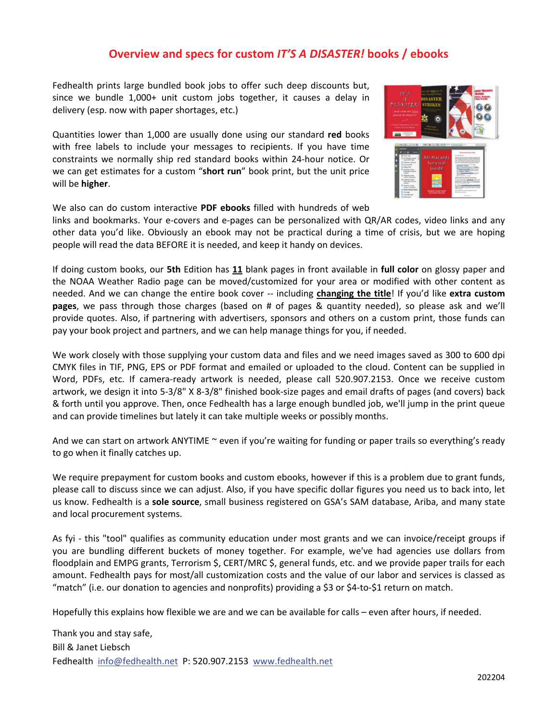## **Overview and specs for custom** *IT'S A DISASTER!* **books / ebooks**

Fedhealth prints large bundled book jobs to offer such deep discounts but, since we bundle 1,000+ unit custom jobs together, it causes a delay in delivery (esp. now with paper shortages, etc.)

Quantities lower than 1,000 are usually done using our standard **red** books with free labels to include your messages to recipients. If you have time constraints we normally ship red standard books within 24-hour notice. Or we can get estimates for a custom "**short run**" book print, but the unit price will be **higher**.



We also can do custom interactive **PDF ebooks** filled with hundreds of web

links and bookmarks. Your e-covers and e-pages can be personalized with QR/AR codes, video links and any other data you'd like. Obviously an ebook may not be practical during a time of crisis, but we are hoping people will read the data BEFORE it is needed, and keep it handy on devices.

If doing custom books, our **5th** Edition has **11** blank pages in front available in **full color** on glossy paper and the NOAA Weather Radio page can be moved/customized for your area or modified with other content as needed. And we can change the entire book cover -- including **changing the title**! If you'd like **extra custom pages**, we pass through those charges (based on # of pages & quantity needed), so please ask and we'll provide quotes. Also, if partnering with advertisers, sponsors and others on a custom print, those funds can pay your book project and partners, and we can help manage things for you, if needed.

We work closely with those supplying your custom data and files and we need images saved as 300 to 600 dpi CMYK files in TIF, PNG, EPS or PDF format and emailed or uploaded to the cloud. Content can be supplied in Word, PDFs, etc. If camera-ready artwork is needed, please call 520.907.2153. Once we receive custom artwork, we design it into 5-3/8" X 8-3/8" finished book-size pages and email drafts of pages (and covers) back & forth until you approve. Then, once Fedhealth has a large enough bundled job, we'll jump in the print queue and can provide timelines but lately it can take multiple weeks or possibly months.

And we can start on artwork ANYTIME ~ even if you're waiting for funding or paper trails so everything's ready to go when it finally catches up.

We require prepayment for custom books and custom ebooks, however if this is a problem due to grant funds, please call to discuss since we can adjust. Also, if you have specific dollar figures you need us to back into, let us know. Fedhealth is a **sole source**, small business registered on GSA's SAM database, Ariba, and many state and local procurement systems.

As fyi - this "tool" qualifies as community education under most grants and we can invoice/receipt groups if you are bundling different buckets of money together. For example, we've had agencies use dollars from floodplain and EMPG grants, Terrorism \$, CERT/MRC \$, general funds, etc. and we provide paper trails for each amount. Fedhealth pays for most/all customization costs and the value of our labor and services is classed as "match" (i.e. our donation to agencies and nonprofits) providing a \$3 or \$4-to-\$1 return on match.

Hopefully this explains how flexible we are and we can be available for calls – even after hours, if needed.

Thank you and stay safe, Bill & Janet Liebsch Fedhealth info@fedhealth.net P: 520.907.2153 w[ww.fedhealth.net](http://www.fedhealth.net)